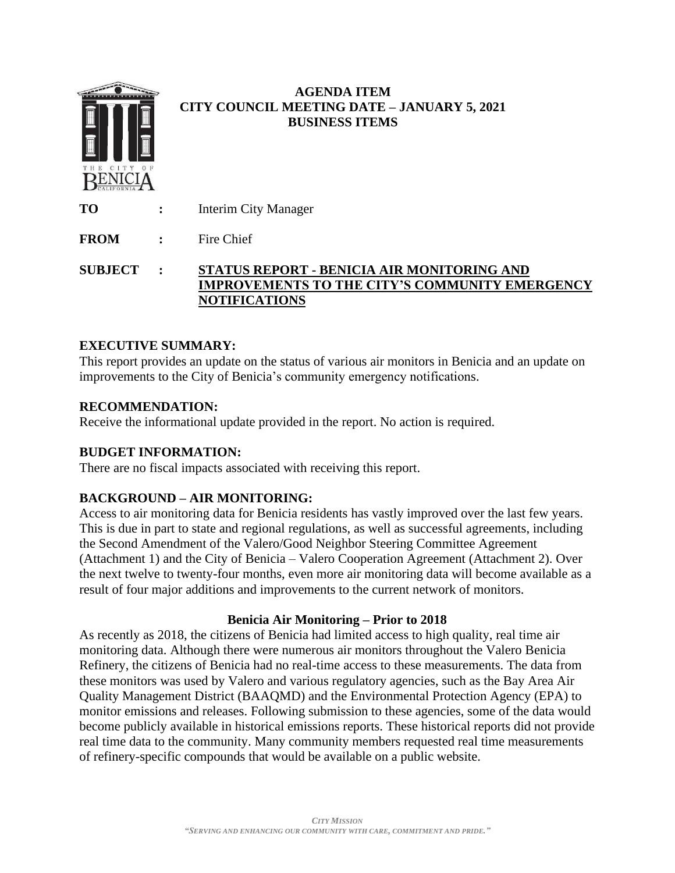

## **EXECUTIVE SUMMARY:**

This report provides an update on the status of various air monitors in Benicia and an update on improvements to the City of Benicia's community emergency notifications.

## **RECOMMENDATION:**

Receive the informational update provided in the report. No action is required.

## **BUDGET INFORMATION:**

There are no fiscal impacts associated with receiving this report.

# **BACKGROUND – AIR MONITORING:**

Access to air monitoring data for Benicia residents has vastly improved over the last few years. This is due in part to state and regional regulations, as well as successful agreements, including the Second Amendment of the Valero/Good Neighbor Steering Committee Agreement (Attachment 1) and the City of Benicia – Valero Cooperation Agreement (Attachment 2). Over the next twelve to twenty-four months, even more air monitoring data will become available as a result of four major additions and improvements to the current network of monitors.

## **Benicia Air Monitoring – Prior to 2018**

As recently as 2018, the citizens of Benicia had limited access to high quality, real time air monitoring data. Although there were numerous air monitors throughout the Valero Benicia Refinery, the citizens of Benicia had no real-time access to these measurements. The data from these monitors was used by Valero and various regulatory agencies, such as the Bay Area Air Quality Management District (BAAQMD) and the Environmental Protection Agency (EPA) to monitor emissions and releases. Following submission to these agencies, some of the data would become publicly available in historical emissions reports. These historical reports did not provide real time data to the community. Many community members requested real time measurements of refinery-specific compounds that would be available on a public website.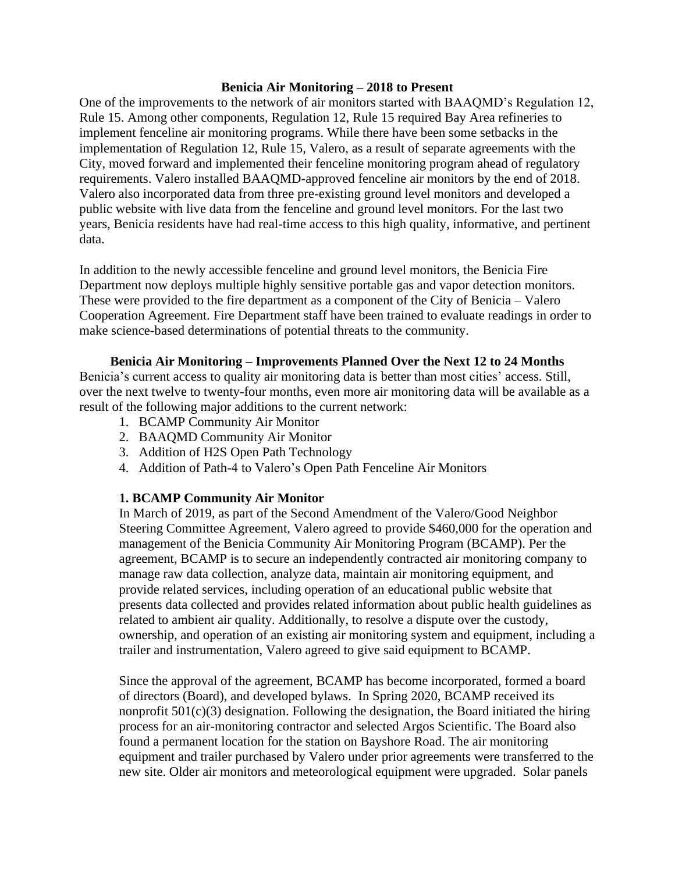#### **Benicia Air Monitoring – 2018 to Present**

One of the improvements to the network of air monitors started with BAAQMD's Regulation 12, Rule 15. Among other components, Regulation 12, Rule 15 required Bay Area refineries to implement fenceline air monitoring programs. While there have been some setbacks in the implementation of Regulation 12, Rule 15, Valero, as a result of separate agreements with the City, moved forward and implemented their fenceline monitoring program ahead of regulatory requirements. Valero installed BAAQMD-approved fenceline air monitors by the end of 2018. Valero also incorporated data from three pre-existing ground level monitors and developed a public website with live data from the fenceline and ground level monitors. For the last two years, Benicia residents have had real-time access to this high quality, informative, and pertinent data.

In addition to the newly accessible fenceline and ground level monitors, the Benicia Fire Department now deploys multiple highly sensitive portable gas and vapor detection monitors. These were provided to the fire department as a component of the City of Benicia – Valero Cooperation Agreement. Fire Department staff have been trained to evaluate readings in order to make science-based determinations of potential threats to the community.

#### **Benicia Air Monitoring – Improvements Planned Over the Next 12 to 24 Months**

Benicia's current access to quality air monitoring data is better than most cities' access. Still, over the next twelve to twenty-four months, even more air monitoring data will be available as a result of the following major additions to the current network:

- 1. BCAMP Community Air Monitor
- 2. BAAQMD Community Air Monitor
- 3. Addition of H2S Open Path Technology
- 4. Addition of Path-4 to Valero's Open Path Fenceline Air Monitors

#### **1. BCAMP Community Air Monitor**

In March of 2019, as part of the Second Amendment of the Valero/Good Neighbor Steering Committee Agreement, Valero agreed to provide \$460,000 for the operation and management of the Benicia Community Air Monitoring Program (BCAMP). Per the agreement, BCAMP is to secure an independently contracted air monitoring company to manage raw data collection, analyze data, maintain air monitoring equipment, and provide related services, including operation of an educational public website that presents data collected and provides related information about public health guidelines as related to ambient air quality. Additionally, to resolve a dispute over the custody, ownership, and operation of an existing air monitoring system and equipment, including a trailer and instrumentation, Valero agreed to give said equipment to BCAMP.

Since the approval of the agreement, BCAMP has become incorporated, formed a board of directors (Board), and developed bylaws. In Spring 2020, BCAMP received its nonprofit 501(c)(3) designation. Following the designation, the Board initiated the hiring process for an air-monitoring contractor and selected Argos Scientific. The Board also found a permanent location for the station on Bayshore Road. The air monitoring equipment and trailer purchased by Valero under prior agreements were transferred to the new site. Older air monitors and meteorological equipment were upgraded. Solar panels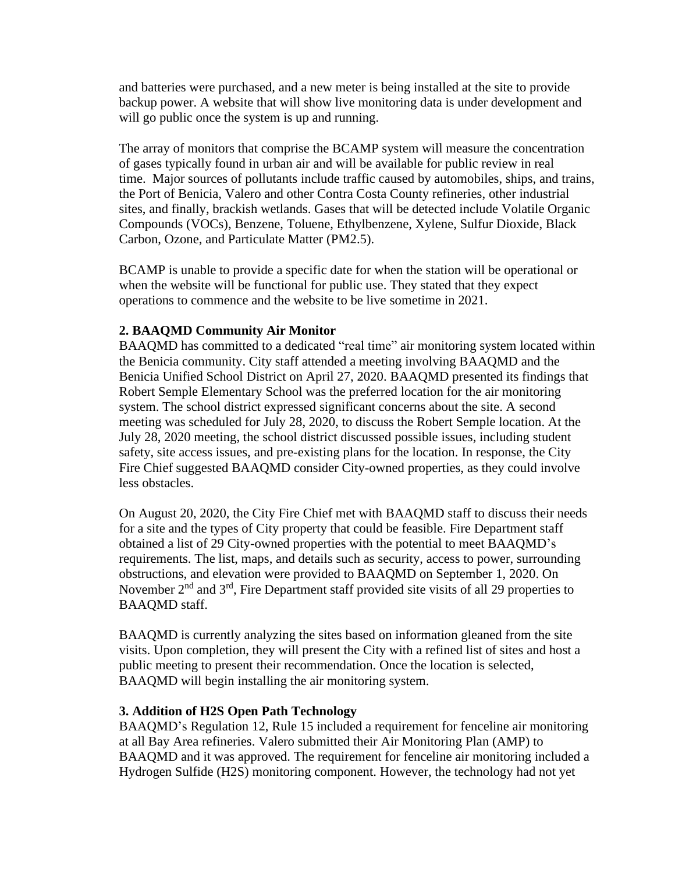and batteries were purchased, and a new meter is being installed at the site to provide backup power. A website that will show live monitoring data is under development and will go public once the system is up and running.

The array of monitors that comprise the BCAMP system will measure the concentration of gases typically found in urban air and will be available for public review in real time. Major sources of pollutants include traffic caused by automobiles, ships, and trains, the Port of Benicia, Valero and other Contra Costa County refineries, other industrial sites, and finally, brackish wetlands. Gases that will be detected include Volatile Organic Compounds (VOCs), Benzene, Toluene, Ethylbenzene, Xylene, Sulfur Dioxide, Black Carbon, Ozone, and Particulate Matter (PM2.5).

BCAMP is unable to provide a specific date for when the station will be operational or when the website will be functional for public use. They stated that they expect operations to commence and the website to be live sometime in 2021.

## **2. BAAQMD Community Air Monitor**

BAAQMD has committed to a dedicated "real time" air monitoring system located within the Benicia community. City staff attended a meeting involving BAAQMD and the Benicia Unified School District on April 27, 2020. BAAQMD presented its findings that Robert Semple Elementary School was the preferred location for the air monitoring system. The school district expressed significant concerns about the site. A second meeting was scheduled for July 28, 2020, to discuss the Robert Semple location. At the July 28, 2020 meeting, the school district discussed possible issues, including student safety, site access issues, and pre-existing plans for the location. In response, the City Fire Chief suggested BAAQMD consider City-owned properties, as they could involve less obstacles.

On August 20, 2020, the City Fire Chief met with BAAQMD staff to discuss their needs for a site and the types of City property that could be feasible. Fire Department staff obtained a list of 29 City-owned properties with the potential to meet BAAQMD's requirements. The list, maps, and details such as security, access to power, surrounding obstructions, and elevation were provided to BAAQMD on September 1, 2020. On November 2<sup>nd</sup> and 3<sup>rd</sup>, Fire Department staff provided site visits of all 29 properties to BAAQMD staff.

BAAQMD is currently analyzing the sites based on information gleaned from the site visits. Upon completion, they will present the City with a refined list of sites and host a public meeting to present their recommendation. Once the location is selected, BAAQMD will begin installing the air monitoring system.

#### **3. Addition of H2S Open Path Technology**

BAAQMD's Regulation 12, Rule 15 included a requirement for fenceline air monitoring at all Bay Area refineries. Valero submitted their Air Monitoring Plan (AMP) to BAAQMD and it was approved. The requirement for fenceline air monitoring included a Hydrogen Sulfide (H2S) monitoring component. However, the technology had not yet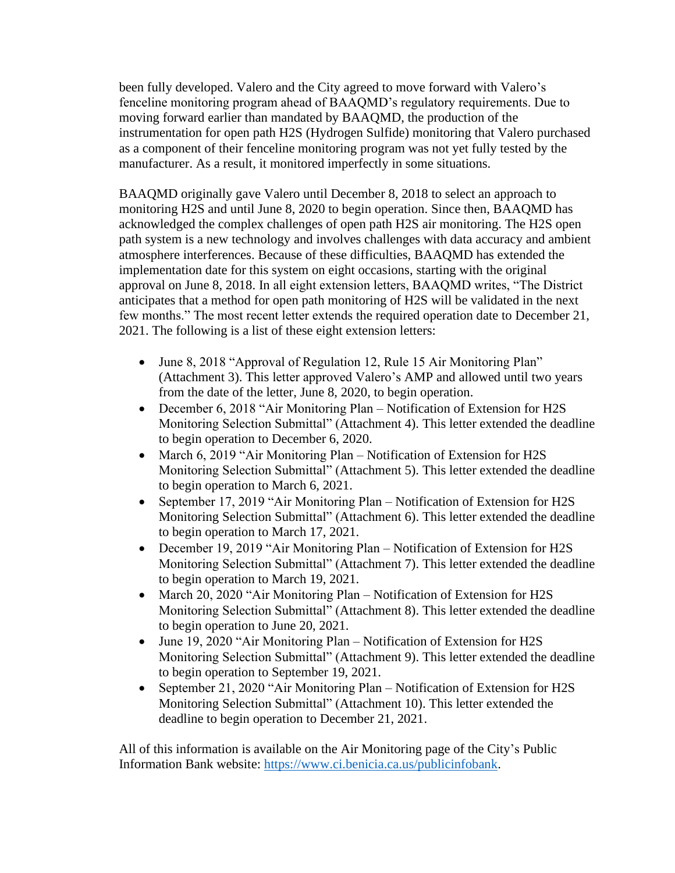been fully developed. Valero and the City agreed to move forward with Valero's fenceline monitoring program ahead of BAAQMD's regulatory requirements. Due to moving forward earlier than mandated by BAAQMD, the production of the instrumentation for open path H2S (Hydrogen Sulfide) monitoring that Valero purchased as a component of their fenceline monitoring program was not yet fully tested by the manufacturer. As a result, it monitored imperfectly in some situations.

BAAQMD originally gave Valero until December 8, 2018 to select an approach to monitoring H2S and until June 8, 2020 to begin operation. Since then, BAAQMD has acknowledged the complex challenges of open path H2S air monitoring. The H2S open path system is a new technology and involves challenges with data accuracy and ambient atmosphere interferences. Because of these difficulties, BAAQMD has extended the implementation date for this system on eight occasions, starting with the original approval on June 8, 2018. In all eight extension letters, BAAQMD writes, "The District anticipates that a method for open path monitoring of H2S will be validated in the next few months." The most recent letter extends the required operation date to December 21, 2021. The following is a list of these eight extension letters:

- June 8, 2018 "Approval of Regulation 12, Rule 15 Air Monitoring Plan" (Attachment 3). This letter approved Valero's AMP and allowed until two years from the date of the letter, June 8, 2020, to begin operation.
- December 6, 2018 "Air Monitoring Plan Notification of Extension for H2S Monitoring Selection Submittal" (Attachment 4). This letter extended the deadline to begin operation to December 6, 2020.
- March 6, 2019 "Air Monitoring Plan Notification of Extension for H2S Monitoring Selection Submittal" (Attachment 5). This letter extended the deadline to begin operation to March 6, 2021.
- September 17, 2019 "Air Monitoring Plan Notification of Extension for H2S Monitoring Selection Submittal" (Attachment 6). This letter extended the deadline to begin operation to March 17, 2021.
- December 19, 2019 "Air Monitoring Plan Notification of Extension for H2S Monitoring Selection Submittal" (Attachment 7). This letter extended the deadline to begin operation to March 19, 2021.
- March 20, 2020 "Air Monitoring Plan Notification of Extension for H2S Monitoring Selection Submittal" (Attachment 8). This letter extended the deadline to begin operation to June 20, 2021.
- June 19, 2020 "Air Monitoring Plan Notification of Extension for H2S Monitoring Selection Submittal" (Attachment 9). This letter extended the deadline to begin operation to September 19, 2021.
- September 21, 2020 "Air Monitoring Plan Notification of Extension for H2S Monitoring Selection Submittal" (Attachment 10). This letter extended the deadline to begin operation to December 21, 2021.

All of this information is available on the Air Monitoring page of the City's Public Information Bank website: [https://www.ci.benicia.ca.us/publicinfobank.](https://www.ci.benicia.ca.us/publicinfobank)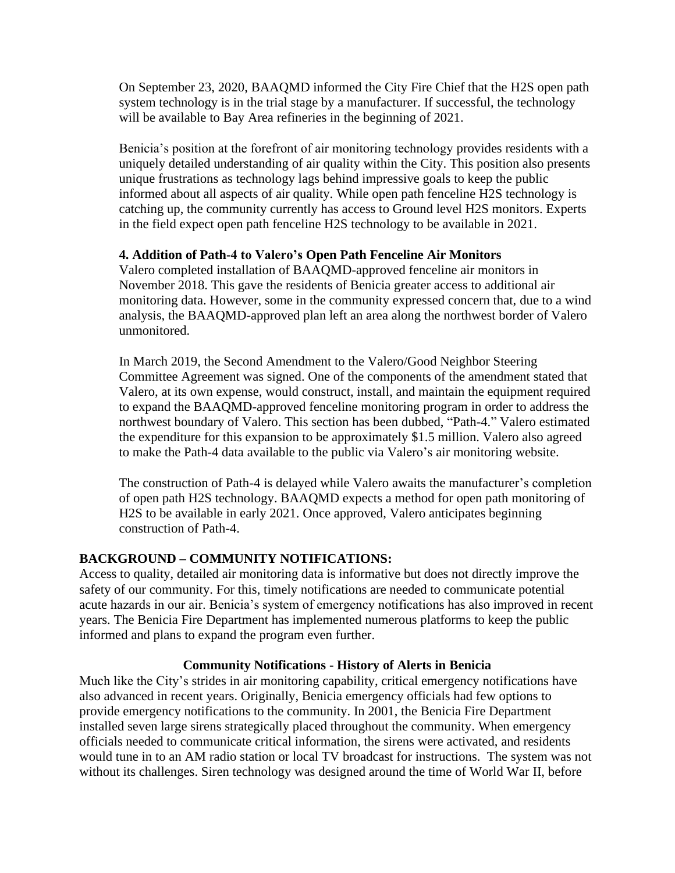On September 23, 2020, BAAQMD informed the City Fire Chief that the H2S open path system technology is in the trial stage by a manufacturer. If successful, the technology will be available to Bay Area refineries in the beginning of 2021.

Benicia's position at the forefront of air monitoring technology provides residents with a uniquely detailed understanding of air quality within the City. This position also presents unique frustrations as technology lags behind impressive goals to keep the public informed about all aspects of air quality. While open path fenceline H2S technology is catching up, the community currently has access to Ground level H2S monitors. Experts in the field expect open path fenceline H2S technology to be available in 2021.

## **4. Addition of Path-4 to Valero's Open Path Fenceline Air Monitors**

Valero completed installation of BAAQMD-approved fenceline air monitors in November 2018. This gave the residents of Benicia greater access to additional air monitoring data. However, some in the community expressed concern that, due to a wind analysis, the BAAQMD-approved plan left an area along the northwest border of Valero unmonitored.

In March 2019, the Second Amendment to the Valero/Good Neighbor Steering Committee Agreement was signed. One of the components of the amendment stated that Valero, at its own expense, would construct, install, and maintain the equipment required to expand the BAAQMD-approved fenceline monitoring program in order to address the northwest boundary of Valero. This section has been dubbed, "Path-4." Valero estimated the expenditure for this expansion to be approximately \$1.5 million. Valero also agreed to make the Path-4 data available to the public via Valero's air monitoring website.

The construction of Path-4 is delayed while Valero awaits the manufacturer's completion of open path H2S technology. BAAQMD expects a method for open path monitoring of H2S to be available in early 2021. Once approved, Valero anticipates beginning construction of Path-4.

## **BACKGROUND – COMMUNITY NOTIFICATIONS:**

Access to quality, detailed air monitoring data is informative but does not directly improve the safety of our community. For this, timely notifications are needed to communicate potential acute hazards in our air. Benicia's system of emergency notifications has also improved in recent years. The Benicia Fire Department has implemented numerous platforms to keep the public informed and plans to expand the program even further.

## **Community Notifications - History of Alerts in Benicia**

Much like the City's strides in air monitoring capability, critical emergency notifications have also advanced in recent years. Originally, Benicia emergency officials had few options to provide emergency notifications to the community. In 2001, the Benicia Fire Department installed seven large sirens strategically placed throughout the community. When emergency officials needed to communicate critical information, the sirens were activated, and residents would tune in to an AM radio station or local TV broadcast for instructions. The system was not without its challenges. Siren technology was designed around the time of World War II, before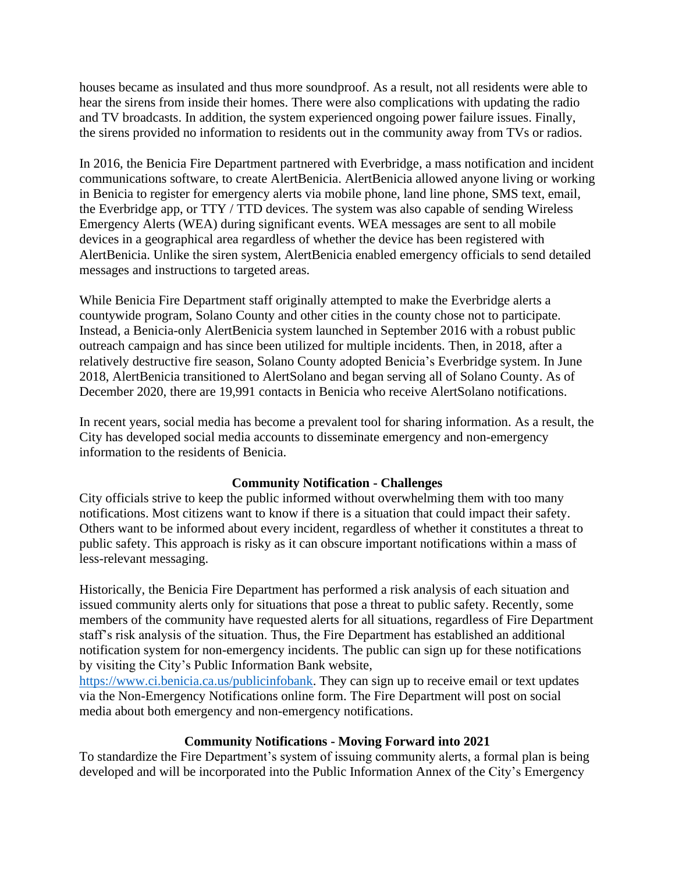houses became as insulated and thus more soundproof. As a result, not all residents were able to hear the sirens from inside their homes. There were also complications with updating the radio and TV broadcasts. In addition, the system experienced ongoing power failure issues. Finally, the sirens provided no information to residents out in the community away from TVs or radios.

In 2016, the Benicia Fire Department partnered with Everbridge, a mass notification and incident communications software, to create AlertBenicia. AlertBenicia allowed anyone living or working in Benicia to register for emergency alerts via mobile phone, land line phone, SMS text, email, the Everbridge app, or TTY / TTD devices. The system was also capable of sending Wireless Emergency Alerts (WEA) during significant events. WEA messages are sent to all mobile devices in a geographical area regardless of whether the device has been registered with AlertBenicia. Unlike the siren system, AlertBenicia enabled emergency officials to send detailed messages and instructions to targeted areas.

While Benicia Fire Department staff originally attempted to make the Everbridge alerts a countywide program, Solano County and other cities in the county chose not to participate. Instead, a Benicia-only AlertBenicia system launched in September 2016 with a robust public outreach campaign and has since been utilized for multiple incidents. Then, in 2018, after a relatively destructive fire season, Solano County adopted Benicia's Everbridge system. In June 2018, AlertBenicia transitioned to AlertSolano and began serving all of Solano County. As of December 2020, there are 19,991 contacts in Benicia who receive AlertSolano notifications.

In recent years, social media has become a prevalent tool for sharing information. As a result, the City has developed social media accounts to disseminate emergency and non-emergency information to the residents of Benicia.

#### **Community Notification - Challenges**

City officials strive to keep the public informed without overwhelming them with too many notifications. Most citizens want to know if there is a situation that could impact their safety. Others want to be informed about every incident, regardless of whether it constitutes a threat to public safety. This approach is risky as it can obscure important notifications within a mass of less-relevant messaging.

Historically, the Benicia Fire Department has performed a risk analysis of each situation and issued community alerts only for situations that pose a threat to public safety. Recently, some members of the community have requested alerts for all situations, regardless of Fire Department staff's risk analysis of the situation. Thus, the Fire Department has established an additional notification system for non-emergency incidents. The public can sign up for these notifications by visiting the City's Public Information Bank website,

[https://www.ci.benicia.ca.us/publicinfobank.](https://www.ci.benicia.ca.us/publicinfobank) They can sign up to receive email or text updates via the Non-Emergency Notifications online form. The Fire Department will post on social media about both emergency and non-emergency notifications.

#### **Community Notifications - Moving Forward into 2021**

To standardize the Fire Department's system of issuing community alerts, a formal plan is being developed and will be incorporated into the Public Information Annex of the City's Emergency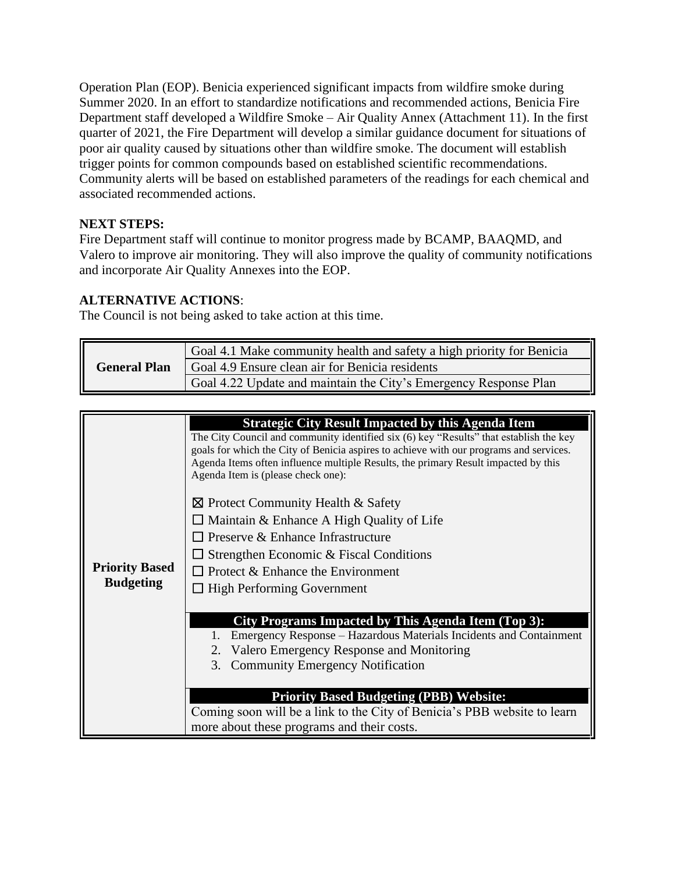Operation Plan (EOP). Benicia experienced significant impacts from wildfire smoke during Summer 2020. In an effort to standardize notifications and recommended actions, Benicia Fire Department staff developed a Wildfire Smoke – Air Quality Annex (Attachment 11). In the first quarter of 2021, the Fire Department will develop a similar guidance document for situations of poor air quality caused by situations other than wildfire smoke. The document will establish trigger points for common compounds based on established scientific recommendations. Community alerts will be based on established parameters of the readings for each chemical and associated recommended actions.

## **NEXT STEPS:**

Fire Department staff will continue to monitor progress made by BCAMP, BAAQMD, and Valero to improve air monitoring. They will also improve the quality of community notifications and incorporate Air Quality Annexes into the EOP.

### **ALTERNATIVE ACTIONS**:

The Council is not being asked to take action at this time.

| <b>General Plan</b> | Goal 4.1 Make community health and safety a high priority for Benicia |
|---------------------|-----------------------------------------------------------------------|
|                     | Goal 4.9 Ensure clean air for Benicia residents                       |
|                     | Goal 4.22 Update and maintain the City's Emergency Response Plan      |

| <b>Priority Based</b><br><b>Budgeting</b> | <b>Strategic City Result Impacted by this Agenda Item</b><br>The City Council and community identified six (6) key "Results" that establish the key<br>goals for which the City of Benicia aspires to achieve with our programs and services.<br>Agenda Items often influence multiple Results, the primary Result impacted by this<br>Agenda Item is (please check one): |
|-------------------------------------------|---------------------------------------------------------------------------------------------------------------------------------------------------------------------------------------------------------------------------------------------------------------------------------------------------------------------------------------------------------------------------|
|                                           | $\boxtimes$ Protect Community Health & Safety<br>$\Box$ Maintain & Enhance A High Quality of Life<br>$\Box$ Preserve & Enhance Infrastructure<br>Strengthen Economic & Fiscal Conditions<br>$\Box$ Protect & Enhance the Environment<br>$\Box$ High Performing Government                                                                                                 |
|                                           | City Programs Impacted by This Agenda Item (Top 3):<br>Emergency Response – Hazardous Materials Incidents and Containment<br>2. Valero Emergency Response and Monitoring<br>3.<br><b>Community Emergency Notification</b><br><b>Priority Based Budgeting (PBB) Website:</b><br>Coming soon will be a link to the City of Benicia's PBB website to learn                   |
|                                           | more about these programs and their costs.                                                                                                                                                                                                                                                                                                                                |